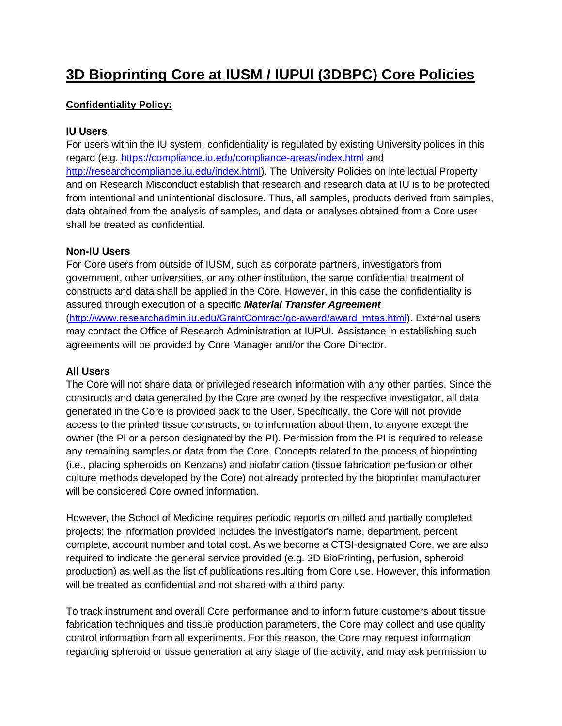# **3D Bioprinting Core at IUSM / IUPUI (3DBPC) Core Policies**

## **Confidentiality Policy:**

## **IU Users**

For users within the IU system, confidentiality is regulated by existing University polices in this regard (e.g.<https://compliance.iu.edu/compliance-areas/index.html> and [http://researchcompliance.iu.edu/index.html\)](http://researchcompliance.iu.edu/index.html). The University Policies on intellectual Property and on Research Misconduct establish that research and research data at IU is to be protected from intentional and unintentional disclosure. Thus, all samples, products derived from samples, data obtained from the analysis of samples, and data or analyses obtained from a Core user shall be treated as confidential.

## **Non-IU Users**

For Core users from outside of IUSM, such as corporate partners, investigators from government, other universities, or any other institution, the same confidential treatment of constructs and data shall be applied in the Core. However, in this case the confidentiality is assured through execution of a specific *Material Transfer Agreement* [\(http://www.researchadmin.iu.edu/GrantContract/gc-award/award\\_mtas.html\)](http://www.researchadmin.iu.edu/GrantContract/gc-award/award_mtas.html). External users may contact the Office of Research Administration at IUPUI. Assistance in establishing such agreements will be provided by Core Manager and/or the Core Director.

## **All Users**

The Core will not share data or privileged research information with any other parties. Since the constructs and data generated by the Core are owned by the respective investigator, all data generated in the Core is provided back to the User. Specifically, the Core will not provide access to the printed tissue constructs, or to information about them, to anyone except the owner (the PI or a person designated by the PI). Permission from the PI is required to release any remaining samples or data from the Core. Concepts related to the process of bioprinting (i.e., placing spheroids on Kenzans) and biofabrication (tissue fabrication perfusion or other culture methods developed by the Core) not already protected by the bioprinter manufacturer will be considered Core owned information.

However, the School of Medicine requires periodic reports on billed and partially completed projects; the information provided includes the investigator's name, department, percent complete, account number and total cost. As we become a CTSI-designated Core, we are also required to indicate the general service provided (e.g. 3D BioPrinting, perfusion, spheroid production) as well as the list of publications resulting from Core use. However, this information will be treated as confidential and not shared with a third party.

To track instrument and overall Core performance and to inform future customers about tissue fabrication techniques and tissue production parameters, the Core may collect and use quality control information from all experiments. For this reason, the Core may request information regarding spheroid or tissue generation at any stage of the activity, and may ask permission to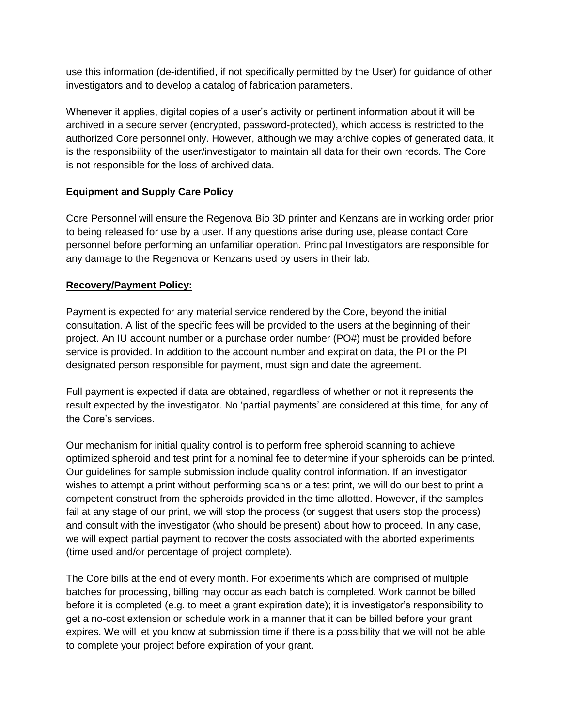use this information (de-identified, if not specifically permitted by the User) for guidance of other investigators and to develop a catalog of fabrication parameters.

Whenever it applies, digital copies of a user's activity or pertinent information about it will be archived in a secure server (encrypted, password-protected), which access is restricted to the authorized Core personnel only. However, although we may archive copies of generated data, it is the responsibility of the user/investigator to maintain all data for their own records. The Core is not responsible for the loss of archived data.

#### **Equipment and Supply Care Policy**

Core Personnel will ensure the Regenova Bio 3D printer and Kenzans are in working order prior to being released for use by a user. If any questions arise during use, please contact Core personnel before performing an unfamiliar operation. Principal Investigators are responsible for any damage to the Regenova or Kenzans used by users in their lab.

#### **Recovery/Payment Policy:**

Payment is expected for any material service rendered by the Core, beyond the initial consultation. A list of the specific fees will be provided to the users at the beginning of their project. An IU account number or a purchase order number (PO#) must be provided before service is provided. In addition to the account number and expiration data, the PI or the PI designated person responsible for payment, must sign and date the agreement.

Full payment is expected if data are obtained, regardless of whether or not it represents the result expected by the investigator. No 'partial payments' are considered at this time, for any of the Core's services.

Our mechanism for initial quality control is to perform free spheroid scanning to achieve optimized spheroid and test print for a nominal fee to determine if your spheroids can be printed. Our guidelines for sample submission include quality control information. If an investigator wishes to attempt a print without performing scans or a test print, we will do our best to print a competent construct from the spheroids provided in the time allotted. However, if the samples fail at any stage of our print, we will stop the process (or suggest that users stop the process) and consult with the investigator (who should be present) about how to proceed. In any case, we will expect partial payment to recover the costs associated with the aborted experiments (time used and/or percentage of project complete).

The Core bills at the end of every month. For experiments which are comprised of multiple batches for processing, billing may occur as each batch is completed. Work cannot be billed before it is completed (e.g. to meet a grant expiration date); it is investigator's responsibility to get a no-cost extension or schedule work in a manner that it can be billed before your grant expires. We will let you know at submission time if there is a possibility that we will not be able to complete your project before expiration of your grant.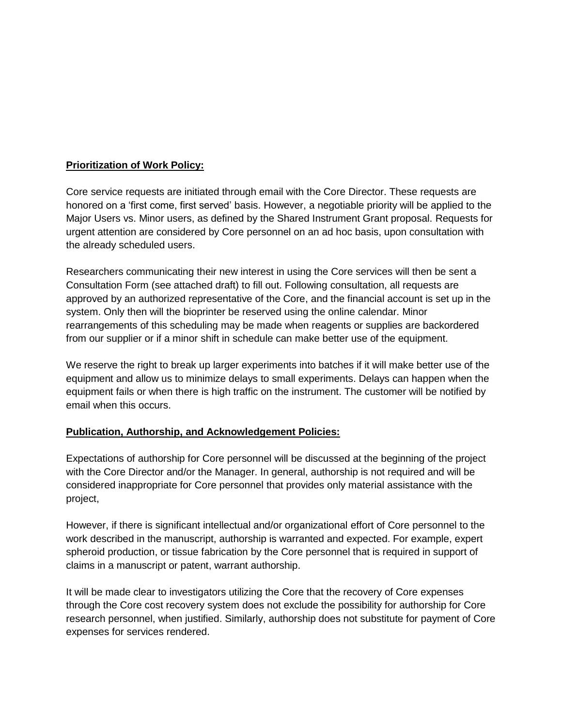#### **Prioritization of Work Policy:**

Core service requests are initiated through email with the Core Director. These requests are honored on a 'first come, first served' basis. However, a negotiable priority will be applied to the Major Users vs. Minor users, as defined by the Shared Instrument Grant proposal. Requests for urgent attention are considered by Core personnel on an ad hoc basis, upon consultation with the already scheduled users.

Researchers communicating their new interest in using the Core services will then be sent a Consultation Form (see attached draft) to fill out. Following consultation, all requests are approved by an authorized representative of the Core, and the financial account is set up in the system. Only then will the bioprinter be reserved using the online calendar. Minor rearrangements of this scheduling may be made when reagents or supplies are backordered from our supplier or if a minor shift in schedule can make better use of the equipment.

We reserve the right to break up larger experiments into batches if it will make better use of the equipment and allow us to minimize delays to small experiments. Delays can happen when the equipment fails or when there is high traffic on the instrument. The customer will be notified by email when this occurs.

## **Publication, Authorship, and Acknowledgement Policies:**

Expectations of authorship for Core personnel will be discussed at the beginning of the project with the Core Director and/or the Manager. In general, authorship is not required and will be considered inappropriate for Core personnel that provides only material assistance with the project,

However, if there is significant intellectual and/or organizational effort of Core personnel to the work described in the manuscript, authorship is warranted and expected. For example, expert spheroid production, or tissue fabrication by the Core personnel that is required in support of claims in a manuscript or patent, warrant authorship.

It will be made clear to investigators utilizing the Core that the recovery of Core expenses through the Core cost recovery system does not exclude the possibility for authorship for Core research personnel, when justified. Similarly, authorship does not substitute for payment of Core expenses for services rendered.